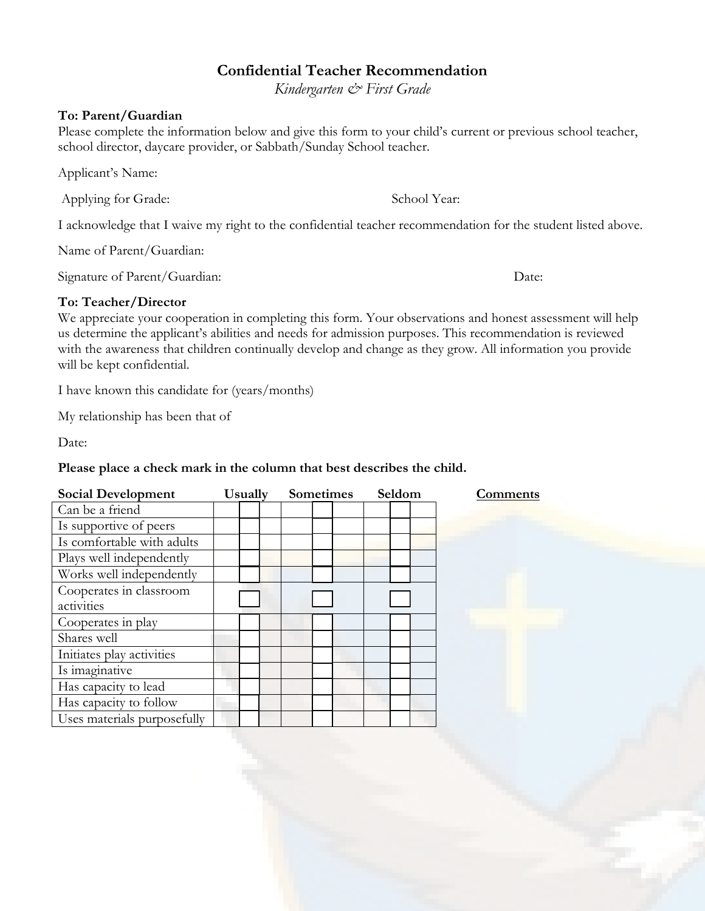## **Confidential Teacher Recommendation**

*Kindergarten & First Grade*

## **To: Parent/Guardian**

Please complete the information below and give this form to your child's current or previous school teacher, school director, daycare provider, or Sabbath/Sunday School teacher.

Applicant's Name:

Applying for Grade: School Year:

I acknowledge that I waive my right to the confidential teacher recommendation for the student listed above.

Name of Parent/Guardian:

Signature of Parent/Guardian: Date: Date:

## **To: Teacher/Director**

We appreciate your cooperation in completing this form. Your observations and honest assessment will help us determine the applicant's abilities and needs for admission purposes. This recommendation is reviewed with the awareness that children continually develop and change as they grow. All information you provide will be kept confidential.

I have known this candidate for (years/months)

My relationship has been that of

Date:

## **Please place a check mark in the column that best describes the child.**

| <b>Social Development</b>   | <b>Usually</b> | Sometimes |  | Seldom |  | Comments |  |
|-----------------------------|----------------|-----------|--|--------|--|----------|--|
| Can be a friend             |                |           |  |        |  |          |  |
| Is supportive of peers      |                |           |  |        |  |          |  |
| Is comfortable with adults  |                |           |  |        |  |          |  |
| Plays well independently    |                |           |  |        |  |          |  |
| Works well independently    |                |           |  |        |  |          |  |
| Cooperates in classroom     |                |           |  |        |  |          |  |
| activities                  |                |           |  |        |  |          |  |
| Cooperates in play          |                |           |  |        |  |          |  |
| Shares well                 |                |           |  |        |  |          |  |
| Initiates play activities   |                |           |  |        |  |          |  |
| Is imaginative              |                |           |  |        |  |          |  |
| Has capacity to lead        |                |           |  |        |  |          |  |
| Has capacity to follow      |                |           |  |        |  |          |  |
| Uses materials purposefully |                |           |  |        |  |          |  |